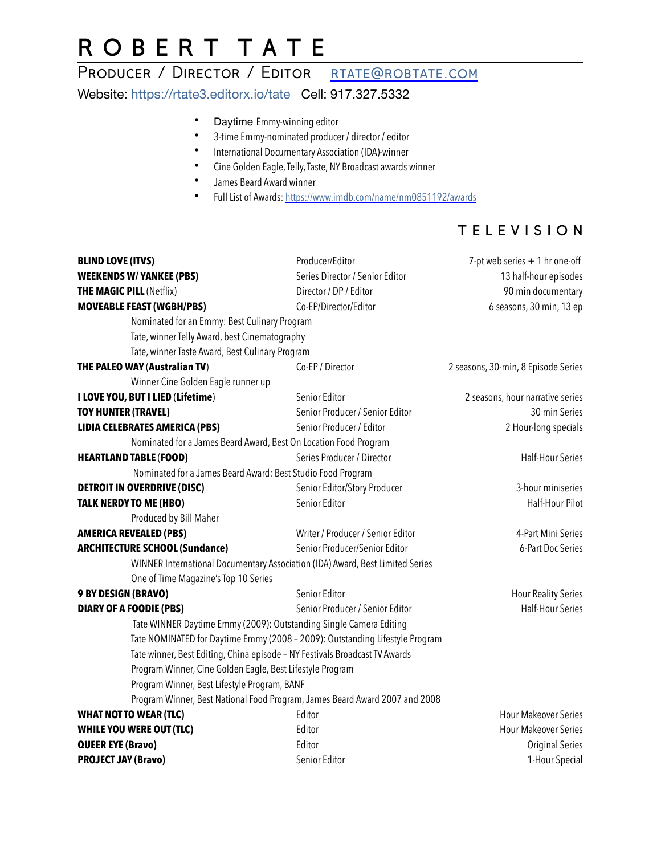# R O B E R T T A T E

### PRODUCER / DIRECTOR / EDITOR RTATE@ROBTATE.COM

Website: <https://rtate3.editorx.io/tate> Cell: 917.327.5332

- Daytime Emmy-winning editor
- 3-time Emmy-nominated producer / director / editor
- International Documentary Association (IDA)-winner
- Cine Golden Eagle, Telly, Taste, NY Broadcast awards winner
- James Beard Award winner
- Full List of Awards:<https://www.imdb.com/name/nm0851192/awards>

### T E L E V I S I O N

| <b>WEEKENDS W/ YANKEE (PBS)</b><br>Series Director / Senior Editor<br><b>THE MAGIC PILL (Netflix)</b><br>Director / DP / Editor<br><b>MOVEABLE FEAST (WGBH/PBS)</b><br>Co-EP/Director/Editor<br>Nominated for an Emmy: Best Culinary Program<br>Tate, winner Telly Award, best Cinematography<br>Tate, winner Taste Award, Best Culinary Program<br>THE PALEO WAY (Australian TV)<br>Co-EP / Director<br>Winner Cine Golden Eagle runner up<br>I LOVE YOU, BUT I LIED (Lifetime)<br>Senior Editor<br><b>TOY HUNTER (TRAVEL)</b><br>Senior Producer / Senior Editor<br><b>LIDIA CELEBRATES AMERICA (PBS)</b><br>Senior Producer / Editor<br>Nominated for a James Beard Award, Best On Location Food Program<br>Series Producer / Director<br><b>HEARTLAND TABLE (FOOD)</b><br>Nominated for a James Beard Award: Best Studio Food Program<br>Senior Editor/Story Producer<br><b>DETROIT IN OVERDRIVE (DISC)</b><br><b>TALK NERDY TO ME (HBO)</b><br>Senior Editor<br>Produced by Bill Maher<br><b>AMERICA REVEALED (PBS)</b><br>Writer / Producer / Senior Editor<br>Senior Producer/Senior Editor<br><b>ARCHITECTURE SCHOOL (Sundance)</b><br>WINNER International Documentary Association (IDA) Award, Best Limited Series<br>One of Time Magazine's Top 10 Series<br>9 BY DESIGN (BRAVO)<br>Senior Editor<br>Senior Producer / Senior Editor<br><b>DIARY OF A FOODIE (PBS)</b><br>Tate WINNER Daytime Emmy (2009): Outstanding Single Camera Editing<br>Tate NOMINATED for Daytime Emmy (2008 - 2009): Outstanding Lifestyle Program<br>Tate winner, Best Editing, China episode - NY Festivals Broadcast TV Awards<br>Program Winner, Cine Golden Eagle, Best Lifestyle Program<br>Program Winner, Best Lifestyle Program, BANF<br>Program Winner, Best National Food Program, James Beard Award 2007 and 2008<br><b>WHAT NOT TO WEAR (TLC)</b><br>Editor<br><b>WHILE YOU WERE OUT (TLC)</b><br>Editor<br>Editor<br><b>QUEER EYE (Bravo)</b> | <b>BLIND LOVE (ITVS)</b>   | Producer/Editor | 7-pt web series $+1$ hr one-off     |
|--------------------------------------------------------------------------------------------------------------------------------------------------------------------------------------------------------------------------------------------------------------------------------------------------------------------------------------------------------------------------------------------------------------------------------------------------------------------------------------------------------------------------------------------------------------------------------------------------------------------------------------------------------------------------------------------------------------------------------------------------------------------------------------------------------------------------------------------------------------------------------------------------------------------------------------------------------------------------------------------------------------------------------------------------------------------------------------------------------------------------------------------------------------------------------------------------------------------------------------------------------------------------------------------------------------------------------------------------------------------------------------------------------------------------------------------------------------------------------------------------------------------------------------------------------------------------------------------------------------------------------------------------------------------------------------------------------------------------------------------------------------------------------------------------------------------------------------------------------------------------------------------------------------------------------------------------|----------------------------|-----------------|-------------------------------------|
|                                                                                                                                                                                                                                                                                                                                                                                                                                                                                                                                                                                                                                                                                                                                                                                                                                                                                                                                                                                                                                                                                                                                                                                                                                                                                                                                                                                                                                                                                                                                                                                                                                                                                                                                                                                                                                                                                                                                                  |                            |                 | 13 half-hour episodes               |
|                                                                                                                                                                                                                                                                                                                                                                                                                                                                                                                                                                                                                                                                                                                                                                                                                                                                                                                                                                                                                                                                                                                                                                                                                                                                                                                                                                                                                                                                                                                                                                                                                                                                                                                                                                                                                                                                                                                                                  |                            |                 | 90 min documentary                  |
|                                                                                                                                                                                                                                                                                                                                                                                                                                                                                                                                                                                                                                                                                                                                                                                                                                                                                                                                                                                                                                                                                                                                                                                                                                                                                                                                                                                                                                                                                                                                                                                                                                                                                                                                                                                                                                                                                                                                                  |                            |                 | 6 seasons, 30 min, 13 ep            |
|                                                                                                                                                                                                                                                                                                                                                                                                                                                                                                                                                                                                                                                                                                                                                                                                                                                                                                                                                                                                                                                                                                                                                                                                                                                                                                                                                                                                                                                                                                                                                                                                                                                                                                                                                                                                                                                                                                                                                  |                            |                 |                                     |
|                                                                                                                                                                                                                                                                                                                                                                                                                                                                                                                                                                                                                                                                                                                                                                                                                                                                                                                                                                                                                                                                                                                                                                                                                                                                                                                                                                                                                                                                                                                                                                                                                                                                                                                                                                                                                                                                                                                                                  |                            |                 |                                     |
|                                                                                                                                                                                                                                                                                                                                                                                                                                                                                                                                                                                                                                                                                                                                                                                                                                                                                                                                                                                                                                                                                                                                                                                                                                                                                                                                                                                                                                                                                                                                                                                                                                                                                                                                                                                                                                                                                                                                                  |                            |                 |                                     |
|                                                                                                                                                                                                                                                                                                                                                                                                                                                                                                                                                                                                                                                                                                                                                                                                                                                                                                                                                                                                                                                                                                                                                                                                                                                                                                                                                                                                                                                                                                                                                                                                                                                                                                                                                                                                                                                                                                                                                  |                            |                 | 2 seasons, 30-min, 8 Episode Series |
|                                                                                                                                                                                                                                                                                                                                                                                                                                                                                                                                                                                                                                                                                                                                                                                                                                                                                                                                                                                                                                                                                                                                                                                                                                                                                                                                                                                                                                                                                                                                                                                                                                                                                                                                                                                                                                                                                                                                                  |                            |                 |                                     |
|                                                                                                                                                                                                                                                                                                                                                                                                                                                                                                                                                                                                                                                                                                                                                                                                                                                                                                                                                                                                                                                                                                                                                                                                                                                                                                                                                                                                                                                                                                                                                                                                                                                                                                                                                                                                                                                                                                                                                  |                            |                 | 2 seasons, hour narrative series    |
|                                                                                                                                                                                                                                                                                                                                                                                                                                                                                                                                                                                                                                                                                                                                                                                                                                                                                                                                                                                                                                                                                                                                                                                                                                                                                                                                                                                                                                                                                                                                                                                                                                                                                                                                                                                                                                                                                                                                                  |                            |                 | 30 min Series                       |
|                                                                                                                                                                                                                                                                                                                                                                                                                                                                                                                                                                                                                                                                                                                                                                                                                                                                                                                                                                                                                                                                                                                                                                                                                                                                                                                                                                                                                                                                                                                                                                                                                                                                                                                                                                                                                                                                                                                                                  |                            |                 | 2 Hour-long specials                |
|                                                                                                                                                                                                                                                                                                                                                                                                                                                                                                                                                                                                                                                                                                                                                                                                                                                                                                                                                                                                                                                                                                                                                                                                                                                                                                                                                                                                                                                                                                                                                                                                                                                                                                                                                                                                                                                                                                                                                  |                            |                 |                                     |
|                                                                                                                                                                                                                                                                                                                                                                                                                                                                                                                                                                                                                                                                                                                                                                                                                                                                                                                                                                                                                                                                                                                                                                                                                                                                                                                                                                                                                                                                                                                                                                                                                                                                                                                                                                                                                                                                                                                                                  |                            |                 | <b>Half-Hour Series</b>             |
|                                                                                                                                                                                                                                                                                                                                                                                                                                                                                                                                                                                                                                                                                                                                                                                                                                                                                                                                                                                                                                                                                                                                                                                                                                                                                                                                                                                                                                                                                                                                                                                                                                                                                                                                                                                                                                                                                                                                                  |                            |                 |                                     |
|                                                                                                                                                                                                                                                                                                                                                                                                                                                                                                                                                                                                                                                                                                                                                                                                                                                                                                                                                                                                                                                                                                                                                                                                                                                                                                                                                                                                                                                                                                                                                                                                                                                                                                                                                                                                                                                                                                                                                  |                            |                 | 3-hour miniseries                   |
|                                                                                                                                                                                                                                                                                                                                                                                                                                                                                                                                                                                                                                                                                                                                                                                                                                                                                                                                                                                                                                                                                                                                                                                                                                                                                                                                                                                                                                                                                                                                                                                                                                                                                                                                                                                                                                                                                                                                                  |                            |                 | Half-Hour Pilot                     |
|                                                                                                                                                                                                                                                                                                                                                                                                                                                                                                                                                                                                                                                                                                                                                                                                                                                                                                                                                                                                                                                                                                                                                                                                                                                                                                                                                                                                                                                                                                                                                                                                                                                                                                                                                                                                                                                                                                                                                  |                            |                 |                                     |
|                                                                                                                                                                                                                                                                                                                                                                                                                                                                                                                                                                                                                                                                                                                                                                                                                                                                                                                                                                                                                                                                                                                                                                                                                                                                                                                                                                                                                                                                                                                                                                                                                                                                                                                                                                                                                                                                                                                                                  |                            |                 | 4-Part Mini Series                  |
|                                                                                                                                                                                                                                                                                                                                                                                                                                                                                                                                                                                                                                                                                                                                                                                                                                                                                                                                                                                                                                                                                                                                                                                                                                                                                                                                                                                                                                                                                                                                                                                                                                                                                                                                                                                                                                                                                                                                                  |                            |                 | 6-Part Doc Series                   |
|                                                                                                                                                                                                                                                                                                                                                                                                                                                                                                                                                                                                                                                                                                                                                                                                                                                                                                                                                                                                                                                                                                                                                                                                                                                                                                                                                                                                                                                                                                                                                                                                                                                                                                                                                                                                                                                                                                                                                  |                            |                 |                                     |
|                                                                                                                                                                                                                                                                                                                                                                                                                                                                                                                                                                                                                                                                                                                                                                                                                                                                                                                                                                                                                                                                                                                                                                                                                                                                                                                                                                                                                                                                                                                                                                                                                                                                                                                                                                                                                                                                                                                                                  |                            |                 |                                     |
|                                                                                                                                                                                                                                                                                                                                                                                                                                                                                                                                                                                                                                                                                                                                                                                                                                                                                                                                                                                                                                                                                                                                                                                                                                                                                                                                                                                                                                                                                                                                                                                                                                                                                                                                                                                                                                                                                                                                                  |                            |                 | <b>Hour Reality Series</b>          |
|                                                                                                                                                                                                                                                                                                                                                                                                                                                                                                                                                                                                                                                                                                                                                                                                                                                                                                                                                                                                                                                                                                                                                                                                                                                                                                                                                                                                                                                                                                                                                                                                                                                                                                                                                                                                                                                                                                                                                  |                            |                 | <b>Half-Hour Series</b>             |
|                                                                                                                                                                                                                                                                                                                                                                                                                                                                                                                                                                                                                                                                                                                                                                                                                                                                                                                                                                                                                                                                                                                                                                                                                                                                                                                                                                                                                                                                                                                                                                                                                                                                                                                                                                                                                                                                                                                                                  |                            |                 |                                     |
|                                                                                                                                                                                                                                                                                                                                                                                                                                                                                                                                                                                                                                                                                                                                                                                                                                                                                                                                                                                                                                                                                                                                                                                                                                                                                                                                                                                                                                                                                                                                                                                                                                                                                                                                                                                                                                                                                                                                                  |                            |                 |                                     |
|                                                                                                                                                                                                                                                                                                                                                                                                                                                                                                                                                                                                                                                                                                                                                                                                                                                                                                                                                                                                                                                                                                                                                                                                                                                                                                                                                                                                                                                                                                                                                                                                                                                                                                                                                                                                                                                                                                                                                  |                            |                 |                                     |
|                                                                                                                                                                                                                                                                                                                                                                                                                                                                                                                                                                                                                                                                                                                                                                                                                                                                                                                                                                                                                                                                                                                                                                                                                                                                                                                                                                                                                                                                                                                                                                                                                                                                                                                                                                                                                                                                                                                                                  |                            |                 |                                     |
|                                                                                                                                                                                                                                                                                                                                                                                                                                                                                                                                                                                                                                                                                                                                                                                                                                                                                                                                                                                                                                                                                                                                                                                                                                                                                                                                                                                                                                                                                                                                                                                                                                                                                                                                                                                                                                                                                                                                                  |                            |                 |                                     |
|                                                                                                                                                                                                                                                                                                                                                                                                                                                                                                                                                                                                                                                                                                                                                                                                                                                                                                                                                                                                                                                                                                                                                                                                                                                                                                                                                                                                                                                                                                                                                                                                                                                                                                                                                                                                                                                                                                                                                  |                            |                 |                                     |
|                                                                                                                                                                                                                                                                                                                                                                                                                                                                                                                                                                                                                                                                                                                                                                                                                                                                                                                                                                                                                                                                                                                                                                                                                                                                                                                                                                                                                                                                                                                                                                                                                                                                                                                                                                                                                                                                                                                                                  |                            |                 | <b>Hour Makeover Series</b>         |
|                                                                                                                                                                                                                                                                                                                                                                                                                                                                                                                                                                                                                                                                                                                                                                                                                                                                                                                                                                                                                                                                                                                                                                                                                                                                                                                                                                                                                                                                                                                                                                                                                                                                                                                                                                                                                                                                                                                                                  |                            |                 | <b>Hour Makeover Series</b>         |
|                                                                                                                                                                                                                                                                                                                                                                                                                                                                                                                                                                                                                                                                                                                                                                                                                                                                                                                                                                                                                                                                                                                                                                                                                                                                                                                                                                                                                                                                                                                                                                                                                                                                                                                                                                                                                                                                                                                                                  |                            |                 | <b>Original Series</b>              |
|                                                                                                                                                                                                                                                                                                                                                                                                                                                                                                                                                                                                                                                                                                                                                                                                                                                                                                                                                                                                                                                                                                                                                                                                                                                                                                                                                                                                                                                                                                                                                                                                                                                                                                                                                                                                                                                                                                                                                  | <b>PROJECT JAY (Bravo)</b> | Senior Editor   | 1-Hour Special                      |